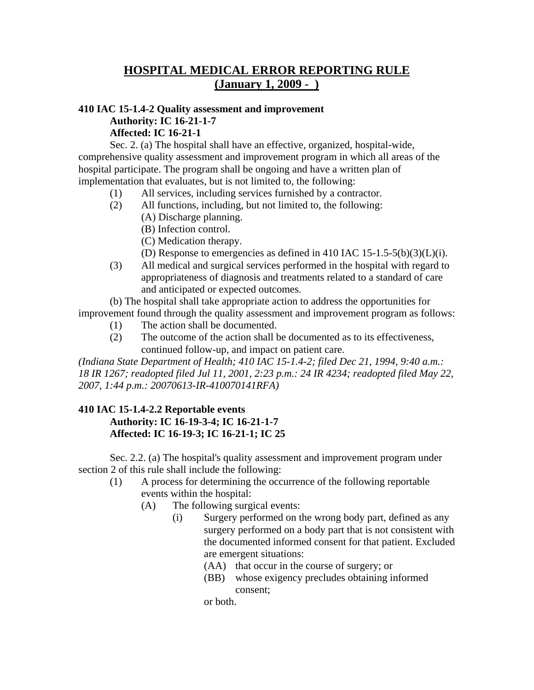## **HOSPITAL MEDICAL ERROR REPORTING RULE (January 1, 2009 - )**

## **410 IAC 15-1.4-2 Quality assessment and improvement Authority: IC 16-21-1-7 Affected: IC 16-21-1**

Sec. 2. (a) The hospital shall have an effective, organized, hospital-wide, comprehensive quality assessment and improvement program in which all areas of the hospital participate. The program shall be ongoing and have a written plan of implementation that evaluates, but is not limited to, the following:

- (1) All services, including services furnished by a contractor.
- (2) All functions, including, but not limited to, the following:
	- (A) Discharge planning.
	- (B) Infection control.
	- (C) Medication therapy.
	- (D) Response to emergencies as defined in 410 IAC 15-1.5-5(b)(3)(L)(i).
- (3) All medical and surgical services performed in the hospital with regard to appropriateness of diagnosis and treatments related to a standard of care and anticipated or expected outcomes.

(b) The hospital shall take appropriate action to address the opportunities for improvement found through the quality assessment and improvement program as follows:

- (1) The action shall be documented.
	- (2) The outcome of the action shall be documented as to its effectiveness, continued follow-up, and impact on patient care.

*(Indiana State Department of Health; 410 IAC 15-1.4-2; filed Dec 21, 1994, 9:40 a.m.: 18 IR 1267; readopted filed Jul 11, 2001, 2:23 p.m.: 24 IR 4234; readopted filed May 22, 2007, 1:44 p.m.: 20070613-IR-410070141RFA)* 

## **410 IAC 15-1.4-2.2 Reportable events Authority: IC 16-19-3-4; IC 16-21-1-7 Affected: IC 16-19-3; IC 16-21-1; IC 25**

Sec. 2.2. (a) The hospital's quality assessment and improvement program under section 2 of this rule shall include the following:

- (1) A process for determining the occurrence of the following reportable events within the hospital:
	- (A) The following surgical events:
		- (i) Surgery performed on the wrong body part, defined as any surgery performed on a body part that is not consistent with the documented informed consent for that patient. Excluded are emergent situations:
			- (AA) that occur in the course of surgery; or
			- (BB) whose exigency precludes obtaining informed consent;

or both.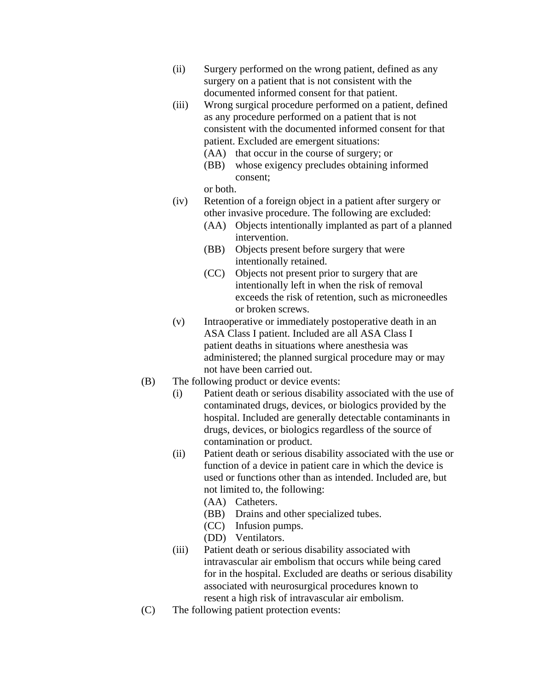- (ii) Surgery performed on the wrong patient, defined as any surgery on a patient that is not consistent with the documented informed consent for that patient.
- (iii) Wrong surgical procedure performed on a patient, defined as any procedure performed on a patient that is not consistent with the documented informed consent for that patient. Excluded are emergent situations:
	- (AA) that occur in the course of surgery; or
	- (BB) whose exigency precludes obtaining informed consent;

or both.

- (iv) Retention of a foreign object in a patient after surgery or other invasive procedure. The following are excluded:
	- (AA) Objects intentionally implanted as part of a planned intervention.
	- (BB) Objects present before surgery that were intentionally retained.
	- (CC) Objects not present prior to surgery that are intentionally left in when the risk of removal exceeds the risk of retention, such as microneedles or broken screws.
- (v) Intraoperative or immediately postoperative death in an ASA Class I patient. Included are all ASA Class I patient deaths in situations where anesthesia was administered; the planned surgical procedure may or may not have been carried out.
- (B) The following product or device events:
	- (i) Patient death or serious disability associated with the use of contaminated drugs, devices, or biologics provided by the hospital. Included are generally detectable contaminants in drugs, devices, or biologics regardless of the source of contamination or product.
	- (ii) Patient death or serious disability associated with the use or function of a device in patient care in which the device is used or functions other than as intended. Included are, but not limited to, the following:
		- (AA) Catheters.
		- (BB) Drains and other specialized tubes.
		- (CC) Infusion pumps.
		- (DD) Ventilators.
	- (iii) Patient death or serious disability associated with intravascular air embolism that occurs while being cared for in the hospital. Excluded are deaths or serious disability associated with neurosurgical procedures known to resent a high risk of intravascular air embolism.
- (C) The following patient protection events: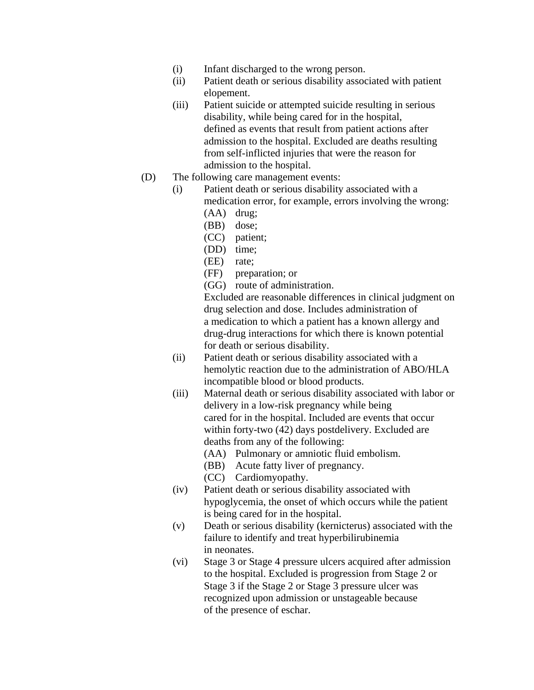- (i) Infant discharged to the wrong person.
- (ii) Patient death or serious disability associated with patient elopement.
- (iii) Patient suicide or attempted suicide resulting in serious disability, while being cared for in the hospital, defined as events that result from patient actions after admission to the hospital. Excluded are deaths resulting from self-inflicted injuries that were the reason for admission to the hospital.
- (D) The following care management events:
	- (i) Patient death or serious disability associated with a medication error, for example, errors involving the wrong:
		- (AA) drug;
		- (BB) dose;
		- (CC) patient;
		- (DD) time;
		- (EE) rate;
		- (FF) preparation; or
		- (GG) route of administration.

Excluded are reasonable differences in clinical judgment on drug selection and dose. Includes administration of a medication to which a patient has a known allergy and drug-drug interactions for which there is known potential for death or serious disability.

- (ii) Patient death or serious disability associated with a hemolytic reaction due to the administration of ABO/HLA incompatible blood or blood products.
- (iii) Maternal death or serious disability associated with labor or delivery in a low-risk pregnancy while being cared for in the hospital. Included are events that occur within forty-two (42) days postdelivery. Excluded are deaths from any of the following:
	- (AA) Pulmonary or amniotic fluid embolism.
	- (BB) Acute fatty liver of pregnancy.
	- (CC) Cardiomyopathy.
- (iv) Patient death or serious disability associated with hypoglycemia, the onset of which occurs while the patient is being cared for in the hospital.
- (v) Death or serious disability (kernicterus) associated with the failure to identify and treat hyperbilirubinemia in neonates.
- (vi) Stage 3 or Stage 4 pressure ulcers acquired after admission to the hospital. Excluded is progression from Stage 2 or Stage 3 if the Stage 2 or Stage 3 pressure ulcer was recognized upon admission or unstageable because of the presence of eschar.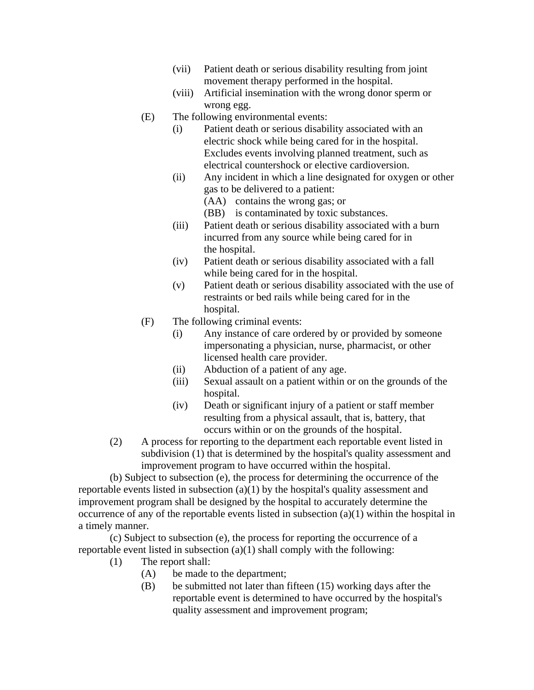- (vii) Patient death or serious disability resulting from joint movement therapy performed in the hospital.
- (viii) Artificial insemination with the wrong donor sperm or wrong egg.
- (E) The following environmental events:
	- (i) Patient death or serious disability associated with an electric shock while being cared for in the hospital. Excludes events involving planned treatment, such as electrical countershock or elective cardioversion.
	- (ii) Any incident in which a line designated for oxygen or other gas to be delivered to a patient:
		- (AA) contains the wrong gas; or
		- (BB) is contaminated by toxic substances.
	- (iii) Patient death or serious disability associated with a burn incurred from any source while being cared for in the hospital.
	- (iv) Patient death or serious disability associated with a fall while being cared for in the hospital.
	- (v) Patient death or serious disability associated with the use of restraints or bed rails while being cared for in the hospital.
- (F) The following criminal events:
	- (i) Any instance of care ordered by or provided by someone impersonating a physician, nurse, pharmacist, or other licensed health care provider.
	- (ii) Abduction of a patient of any age.
	- (iii) Sexual assault on a patient within or on the grounds of the hospital.
	- (iv) Death or significant injury of a patient or staff member resulting from a physical assault, that is, battery, that occurs within or on the grounds of the hospital.
- (2) A process for reporting to the department each reportable event listed in subdivision (1) that is determined by the hospital's quality assessment and improvement program to have occurred within the hospital.

(b) Subject to subsection (e), the process for determining the occurrence of the reportable events listed in subsection  $(a)(1)$  by the hospital's quality assessment and improvement program shall be designed by the hospital to accurately determine the occurrence of any of the reportable events listed in subsection (a)(1) within the hospital in a timely manner.

(c) Subject to subsection (e), the process for reporting the occurrence of a reportable event listed in subsection (a)(1) shall comply with the following:

- (1) The report shall:
	- (A) be made to the department;
	- (B) be submitted not later than fifteen (15) working days after the reportable event is determined to have occurred by the hospital's quality assessment and improvement program;